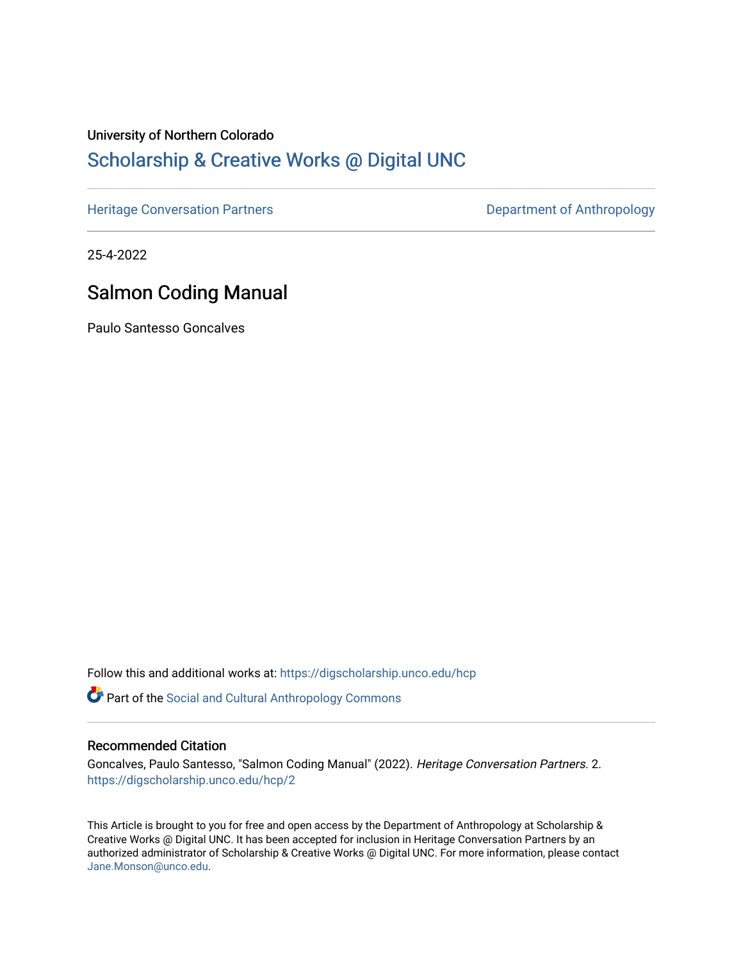## University of Northern Colorado [Scholarship & Creative Works @ Digital UNC](https://digscholarship.unco.edu/)

[Heritage Conversation Partners](https://digscholarship.unco.edu/hcp) **Department of Anthropology** 

25-4-2022

## Salmon Coding Manual

Paulo Santesso Goncalves

Follow this and additional works at: [https://digscholarship.unco.edu/hcp](https://digscholarship.unco.edu/hcp?utm_source=digscholarship.unco.edu%2Fhcp%2F2&utm_medium=PDF&utm_campaign=PDFCoverPages) 

Part of the [Social and Cultural Anthropology Commons](http://network.bepress.com/hgg/discipline/323?utm_source=digscholarship.unco.edu%2Fhcp%2F2&utm_medium=PDF&utm_campaign=PDFCoverPages) 

## Recommended Citation

Goncalves, Paulo Santesso, "Salmon Coding Manual" (2022). Heritage Conversation Partners. 2. [https://digscholarship.unco.edu/hcp/2](https://digscholarship.unco.edu/hcp/2?utm_source=digscholarship.unco.edu%2Fhcp%2F2&utm_medium=PDF&utm_campaign=PDFCoverPages)

This Article is brought to you for free and open access by the Department of Anthropology at Scholarship & Creative Works @ Digital UNC. It has been accepted for inclusion in Heritage Conversation Partners by an authorized administrator of Scholarship & Creative Works @ Digital UNC. For more information, please contact [Jane.Monson@unco.edu.](mailto:Jane.Monson@unco.edu)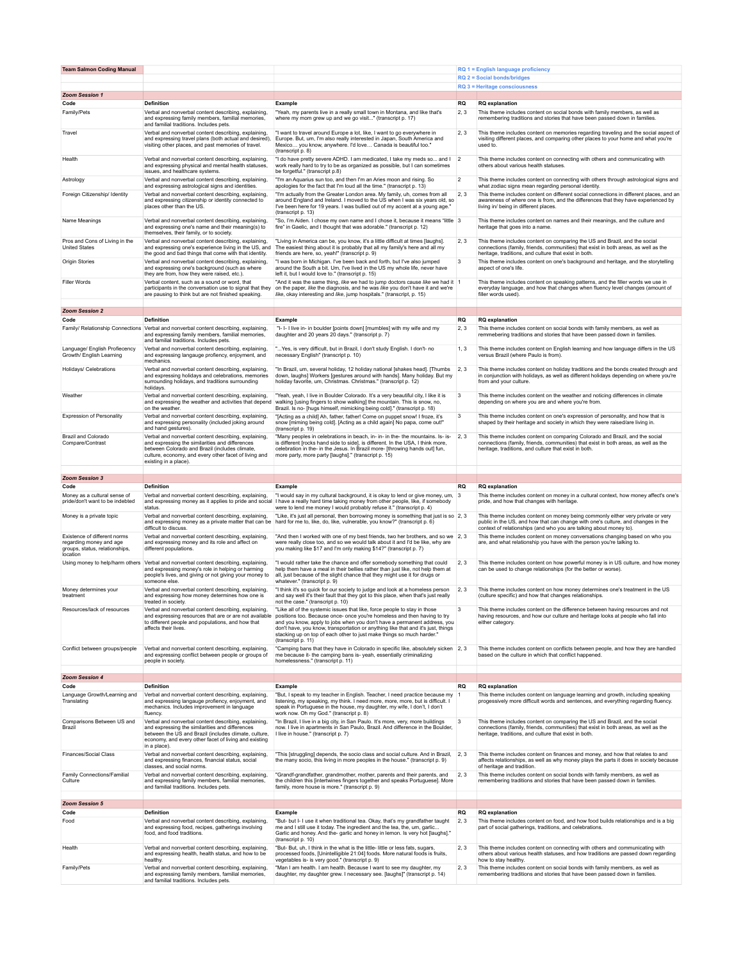| <b>Team Salmon Coding Manual</b>                                                                      |                                                                                                                                                                                                                                             |                                                                                                                                                                                                                                                                                                                                                                              |                | RQ 1 = English language proficiency                                                                                                                                                                                                                                       |  |
|-------------------------------------------------------------------------------------------------------|---------------------------------------------------------------------------------------------------------------------------------------------------------------------------------------------------------------------------------------------|------------------------------------------------------------------------------------------------------------------------------------------------------------------------------------------------------------------------------------------------------------------------------------------------------------------------------------------------------------------------------|----------------|---------------------------------------------------------------------------------------------------------------------------------------------------------------------------------------------------------------------------------------------------------------------------|--|
|                                                                                                       |                                                                                                                                                                                                                                             |                                                                                                                                                                                                                                                                                                                                                                              |                | $RQ$ 2 = Social bonds/bridges                                                                                                                                                                                                                                             |  |
| <b>Zoom Session 1</b>                                                                                 |                                                                                                                                                                                                                                             |                                                                                                                                                                                                                                                                                                                                                                              |                | RQ 3 = Heritage consciousness                                                                                                                                                                                                                                             |  |
| Code                                                                                                  | Definition                                                                                                                                                                                                                                  | Example                                                                                                                                                                                                                                                                                                                                                                      | <b>RQ</b>      | <b>RQ</b> explanation                                                                                                                                                                                                                                                     |  |
| Family/Pets                                                                                           | Verbal and nonverbal content describing, explaining,<br>and expressing family members, familial memories,<br>and familial traditions. Includes pets.                                                                                        | "Yeah, my parents live in a really small town in Montana, and like that's<br>where my mom grew up and we go visit" (transcript p. 17)                                                                                                                                                                                                                                        | 2, 3           | This theme includes content on social bonds with family members, as well as<br>remembering traditions and stories that have been passed down in families.                                                                                                                 |  |
| Travel                                                                                                | Verbal and nonverbal content describing, explaining,<br>and expressing travel plans (both actual and desired),<br>visiting other places, and past memories of travel.                                                                       | "I want to travel around Europe a lot, like, I want to go everywhere in<br>Europe. But, um, I'm also really interested in Japan, South America and<br>Mexico you know, anywhere. I'd love Canada is beautiful too."<br>(transcript p. 8)                                                                                                                                     | 2.3            | This theme includes content on memories regarding traveling and the social aspect of<br>visiting different places, and comparing other places to your home and what you're<br>used to.                                                                                    |  |
| Health                                                                                                | Verbal and nonverbal content describing, explaining,<br>and expressing physical and mental health statuses,<br>issues, and healthcare systems.                                                                                              | "I do have pretty severe ADHD. I am medicated, I take my meds so and I<br>work really hard to try to be as organized as possible, but I can sometimes<br>be forgetful." (transcript p.8)                                                                                                                                                                                     | $\overline{2}$ | This theme includes content on connecting with others and communicating with<br>others about various health statuses.                                                                                                                                                     |  |
| Astrology                                                                                             | Verbal and nonverbal content describing, explaining,<br>and expressing astrological signs and identities.                                                                                                                                   | "I'm an Aquarius sun too, and then I'm an Aries moon and rising. So<br>apologies for the fact that I'm loud all the time." (transcript p. 13)                                                                                                                                                                                                                                | $\overline{2}$ | This theme includes content on connecting with others through astrological signs and<br>what zodiac signs mean regarding personal identity.                                                                                                                               |  |
| Foreign Citizenship/ Identity                                                                         | Verbal and nonverbal content describing, explaining,<br>and expressing citizenship or identity connected to<br>places other than the US.                                                                                                    | "I'm actually from the Greater London area. My family, uh, comes from all<br>around England and Ireland. I moved to the US when I was six years old, so<br>I've been here for 19 years. I was bullied out of my accent at a young age."<br>(transcript p. 13)                                                                                                                | 2, 3           | This theme includes content on different social connections in different places, and an<br>awareness of where one is from, and the differences that they have experienced by<br>living in/ being in different places.                                                     |  |
| Name Meanings                                                                                         | Verbal and nonverbal content describing, explaining,<br>and expressing one's name and their meaning(s) to<br>themselves, their family, or to society.                                                                                       | "So, I'm Aiden. I chose my own name and I chose it, because it means "little 3<br>fire" in Gaelic, and I thought that was adorable." (transcript p. 12)                                                                                                                                                                                                                      |                | This theme includes content on names and their meanings, and the culture and<br>heritage that goes into a name.                                                                                                                                                           |  |
| Pros and Cons of Living in the<br><b>United States</b>                                                | Verbal and nonverbal content describing, explaining,<br>and expressing one's experience living in the US, and<br>the good and bad things that come with that identity.                                                                      | "Living in America can be, you know, it's a little difficult at times [laughs].<br>The easiest thing about it is probably that all my family's here and all my<br>friends are here, so, yeah!" (transcript p. 9)                                                                                                                                                             | 2, 3           | This theme includes content on comparing the US and Brazil, and the social<br>connections (family, friends, communities) that exist in both areas, as well as the<br>heritage, traditions, and culture that exist in both.                                                |  |
| Origin Stories                                                                                        | Verbal and nonverbal content describing, explaining,<br>and expressing one's background (such as where<br>they are from, how they were raised, etc.).                                                                                       | "I was born in Michigan. I've been back and forth, but I've also jumped<br>around the South a bit. Um, I've lived in the US my whole life, never have<br>left it, but I would love to." (transcript p. 15)                                                                                                                                                                   | 3              | This theme includes content on one's background and heritage, and the storytelling<br>aspect of one's life.                                                                                                                                                               |  |
| <b>Filler Words</b>                                                                                   | Verbal content, such as a sound or word, that<br>participants in the conversation use to signal that they<br>are pausing to think but are not finished speaking.                                                                            | "And it was the same thing, like we had to jump doctors cause like we had it 1<br>on the paper, like the diagnosis, and he was like you don't have it and we're<br>like, okay interesting and like, jump hospitals." (transcript, p. 15)                                                                                                                                     |                | This theme includes content on speaking patterns, and the filler words we use in<br>everyday language, and how that changes when fluency level changes (amount of<br>filler words used).                                                                                  |  |
| <b>Zoom Session 2</b>                                                                                 |                                                                                                                                                                                                                                             |                                                                                                                                                                                                                                                                                                                                                                              |                |                                                                                                                                                                                                                                                                           |  |
| Code                                                                                                  | <b>Definition</b>                                                                                                                                                                                                                           | Example                                                                                                                                                                                                                                                                                                                                                                      | <b>RQ</b>      | <b>RQ</b> explanation                                                                                                                                                                                                                                                     |  |
|                                                                                                       | Family/ Relationship Connections Verbal and nonverbal content describing, explaining,<br>and expressing family members, familial memories,<br>and familial traditions. Includes pets.                                                       | "I-I-I live in- in boulder [points down] [mumbles] with my wife and my<br>daughter and 20 years 20 days." (transcript p. 7)                                                                                                                                                                                                                                                  | 2, 3           | This theme includes content on social bonds with family members, as well as<br>remmebering traditions and stories that have been passed down in families.                                                                                                                 |  |
| Language/ English Profiecency<br>Growth/ English Learning                                             | Verbal and nonverbal content describing, explaining,<br>and expressing langauge profiency, enjoyment, and<br>mechanics                                                                                                                      | " Yes, is very difficult, but in Brazil, I don't study English. I don't- no<br>necessary English" (transcript p. 10)                                                                                                                                                                                                                                                         | 1, 3           | This theme includes content on English learning and how language differs in the US<br>versus Brazil (where Paulo is from).                                                                                                                                                |  |
| Holidays/ Celebrations                                                                                | Verbal and nonverbal content describing, explaining,<br>and expressing holidays and celebrations, memories<br>surrounding holidays, and traditions surrounding<br>holidays.                                                                 | "In Brazil, um, several holiday, 12 holiday national [shakes head]. [Thumbs<br>down, laughs] Workers [gestures around with hands]. Many holiday. But my<br>holiday favorite, um, Christmas. Christmas." (transcript p. 12)                                                                                                                                                   | 2.3            | This theme includes content on holiday traditions and the bonds created through and<br>in conjunction with holidays, as well as different holidays depending on where you're<br>from and your culture.                                                                    |  |
| Weather                                                                                               | Verbal and nonverbal content describing, explaining,<br>and expressing the weather and activities that depend<br>on the weather.                                                                                                            | "Yeah, yeah, I live in Boulder Colorado. It's a very beautiful city, I like it is<br>walking [using fingers to show walking] the mountain. This is snow, no,<br>Brazil. Is no- [hugs himself, mimicking being cold]." (transcript p. 18)                                                                                                                                     | 3              | This theme includes content on the weather and noticing differences in climate<br>depending on where you are and where you're from.                                                                                                                                       |  |
| <b>Expression of Personality</b>                                                                      | Verbal and nonverbal content describing, explaining,<br>and expressing personality (included joking around<br>and hand gestures).                                                                                                           | "[Acting as a child] Ah, father, father! Come on puppet snow! I froze, it's<br>snow [miming being cold]. [Acting as a child again] No papa, come out!"<br>(transcript p. 19)                                                                                                                                                                                                 | 3              | This theme includes content on one's expression of personality, and how that is<br>shaped by their heritage and society in which they were raised/are living in.                                                                                                          |  |
| Brazil and Colorado<br>Compare/Contrast                                                               | Verbal and nonverbal content describing, explaining,<br>and expressing the similarities and differences<br>between Colorado and Brazil (includes climate,<br>culture, economy, and every other facet of living and<br>existing in a place). | "Many peoples in celebrations in beach, in- in- in the- the mountains. Is- is-<br>is different [rocks hand side to side], is different. In the USA, I think more,<br>celebration in the- in the Jesus. In Brazil more- [throwing hands out] fun,<br>more party, more party [laughs]." (transcript p. 15)                                                                     | 2, 3           | This theme includes content on comparing Colorado and Brazil, and the social<br>connections (family, friends, communities) that exist in both areas, as well as the<br>heritage, traditions, and culture that exist in both.                                              |  |
| <b>Zoom Session 3</b>                                                                                 |                                                                                                                                                                                                                                             |                                                                                                                                                                                                                                                                                                                                                                              |                |                                                                                                                                                                                                                                                                           |  |
| Code                                                                                                  | <b>Definition</b>                                                                                                                                                                                                                           | Example                                                                                                                                                                                                                                                                                                                                                                      | <b>RQ</b>      | <b>RQ</b> explanation                                                                                                                                                                                                                                                     |  |
| Money as a cultural sense of<br>pride/don't want to be indebted                                       | Verbal and nonverbal content describing, explaining,<br>and expressing money as it applies to pride and social<br>status.                                                                                                                   | "I would say in my cultural background, it is okay to lend or give money, um, 3<br>I have a really hard time taking money from other people, like, if somebody<br>were to lend me money I would probably refuse it." (transcript p. 4)                                                                                                                                       |                | This theme includes content on money in a cultural context, how money affect's one's<br>pride, and how that changes with heritage.                                                                                                                                        |  |
| Money is a private topic                                                                              | Verbal and nonverbal content describing, explaining,<br>and expressing money as a private matter that can be<br>difficult to discuss.                                                                                                       | "Like, it's just all personal, then borrowing money is something that just is so 2, 3<br>hard for me to, like, do, like, vulnerable, you know?" (transcript p. 6)                                                                                                                                                                                                            |                | This theme includes content on money being commonly either very private or very<br>public in the US, and how that can change with one's culture, and changes in the<br>context of relationships (and who you are talking about money to).                                 |  |
| Existence of different norms<br>regarding money and age<br>groups, status, relationships,<br>location | Verbal and nonverbal content describing, explaining,<br>and expressing money and its role and affect on<br>different populations.                                                                                                           | "And then I worked with one of my best friends, two her brothers, and so we 2, 3<br>were really close too, and so we would talk about it and I'd be like, why are<br>you making like \$17 and I'm only making \$14?" (transcript p. 7)                                                                                                                                       |                | This theme includes content on money conversations changing based on who you<br>are, and what relationship you have with the person you're talking to.                                                                                                                    |  |
|                                                                                                       | Using money to help/harm others Verbal and nonverbal content describing, explaining,<br>and expressing money's role in helping or harming<br>people's lives, and giving or not giving your money to<br>someone else.                        | "I would rather take the chance and offer somebody something that could<br>help them have a meal in their bellies rather than just like, not help them at<br>all, just because of the slight chance that they might use it for drugs or<br>whatever." (transcript p. 9)                                                                                                      | 2, 3           | This theme includes content on how powerful money is in US culture, and how money<br>can be used to change relationships (for the better or worse).                                                                                                                       |  |
| Money determines your<br>treatment                                                                    | Verbal and nonverbal content describing, explaining,<br>and expressing how money determines how one is<br>treated in society.                                                                                                               | "I think it's so quick for our society to judge and look at a homeless person<br>and say well it's their fault that they got to this place, when that's just really<br>not the case." (transcript p. 10)                                                                                                                                                                     | 2.3            | This theme includes content on how money determines one's treatment in the US<br>(culture specific) and how that changes relationships.                                                                                                                                   |  |
| Resources/lack of resources                                                                           | Verbal and nonverbal content describing, explaining,<br>to different people and populations, and how that<br>affects their lives.                                                                                                           | "Like all of the systemic issues that like, force people to stay in those<br>and expressing resources that are or are not available positions too. Because once- once you're homeless and then having to try<br>and you know, apply to jobs when you don't have a permanent address, you<br>don't have, you know, transportation or anything like that and it's just, things |                | This theme includes content on the difference between having resources and not<br>having resources, and how our culture and heritage looks at people who fall into<br>either category.                                                                                    |  |
| Conflict between groups/people                                                                        |                                                                                                                                                                                                                                             | stacking up on top of each other to just make things so much harder."<br>(transcript p. 11)                                                                                                                                                                                                                                                                                  |                |                                                                                                                                                                                                                                                                           |  |
|                                                                                                       | Verbal and nonverbal content describing, explaining,<br>and expressing conflict between people or groups of<br>people in society.                                                                                                           | "Camping bans that they have in Colorado in specific like, absolutely sicken 2, 3<br>me because it- the camping bans is- yeah, essentially criminalizing<br>homelessness." (transcript p. 11)                                                                                                                                                                                |                | This theme includes content on conflicts between people, and how they are handled<br>based on the culture in which that conflict happened.                                                                                                                                |  |
| <b>Zoom Session 4</b>                                                                                 |                                                                                                                                                                                                                                             |                                                                                                                                                                                                                                                                                                                                                                              |                |                                                                                                                                                                                                                                                                           |  |
| Code<br>Language Growth/Learning and<br>Translating                                                   | <b>Definition</b><br>Verbal and nonverbal content describing, explaining,<br>and expressing langauge profiency, enjoyment, and<br>mechanics. Includes improvement in language                                                               | Example<br>"But, I speak to my teacher in English. Teacher, I need practice because my<br>listening, my speaking, my think. I need more, more, more, but is difficult. I<br>speak in Portuguese in the house, my daughter, my wife, I don't, I don't                                                                                                                         | <b>RQ</b>      | <b>RQ</b> explanation<br>This theme includes content on language learning and growth, including speaking<br>progessively more difficult words and sentences, and everything regarding fluency.                                                                            |  |
| Comparisons Between US and<br>Brazil                                                                  | fluency.<br>Verbal and nonverbal content describing, explaining,<br>and expressing the similarities and differences<br>between the US and Brazil (includes climate, culture,<br>economy, and every other facet of living and existing       | work now. Oh my God." (transcript p. 8)<br>"In Brazil, I live in a big city, in San Paulo. It's more, very, more buildings<br>now. I live in apartments in San Paulo, Brazil. And difference in the Boulder,<br>I live in house." (transcript p. 7)                                                                                                                          | 3              | This theme includes content on comparing the US and Brazil, and the social<br>connections (family, friends, communities) that exist in both areas, as well as the<br>heritage, traditions, and culture that exist in both.                                                |  |
| Finances/Social Class                                                                                 | in a place).<br>Verbal and nonverbal content describing, explaining,<br>and expressing finances, financial status, social                                                                                                                   | "This [struggling] depends, the socio class and social culture. And in Brazil,<br>the many socio, this living in more peoples in the house." (transcript p. 9)                                                                                                                                                                                                               | 2, 3           | This theme includes content on finances and money, and how that relates to and<br>affects relationships, as well as why money plays the parts it does in society because                                                                                                  |  |
| Family Connections/Familial<br>Culture                                                                | classes, and social norms.<br>Verbal and nonverbal content describing, explaining,<br>and expressing family members, familial memories,<br>and familial traditions. Includes pets.                                                          | "Grandf-grandfather, grandmother, mother, parents and their parents, and<br>the children this [intertwines fingers together and speaks Portuguese]. More<br>family, more house is more." (transcript p. 9)                                                                                                                                                                   | 2, 3           | of heritage and tradition.<br>This theme includes content on social bonds with family members, as well as<br>remembering traditions and stories that have been passed down in families.                                                                                   |  |
|                                                                                                       |                                                                                                                                                                                                                                             |                                                                                                                                                                                                                                                                                                                                                                              |                |                                                                                                                                                                                                                                                                           |  |
| <b>Zoom Session 5</b><br>Code                                                                         | Definition                                                                                                                                                                                                                                  | Example                                                                                                                                                                                                                                                                                                                                                                      | RQ             | <b>RQ</b> explanation                                                                                                                                                                                                                                                     |  |
| Food                                                                                                  | Verbal and nonverbal content describing, explaining,<br>and expressing food, recipes, gatherings involving<br>food, and food traditions.                                                                                                    | "But- but I- I use it when traditional tea. Okay, that's my grandfather taught<br>me and I still use it today. The ingredient and the tea, the, um, garlic<br>Garlic and honey. And the-garlic and honey in lemon. Is very hot [laughs]."<br>(transcript p. 10)                                                                                                              | 2, 3           | This theme includes content on food, and how food builds relationships and is a big<br>part of social gatherings, traditions, and celebrations.                                                                                                                           |  |
| Health<br>Family/Pets                                                                                 | Verbal and nonverbal content describing, explaining,<br>and expressing health, health status, and how to be<br>healthy.                                                                                                                     | "But- But, uh, I think in the what is the little- little or less fats, sugars,<br>processed foods, [Unintelligible 21:04] foods. More natural foods is fruits,<br>vegetables is- is very good." (transcript p. 9)<br>"Man I am health. I am health. Because I want to see my daughter, my                                                                                    | 2, 3           | This theme includes content on connecting with others and communicating with<br>others about various health statuses, and how traditions are passed down regarding<br>how to stay healthy.<br>This theme includes content on social bonds with family members, as well as |  |